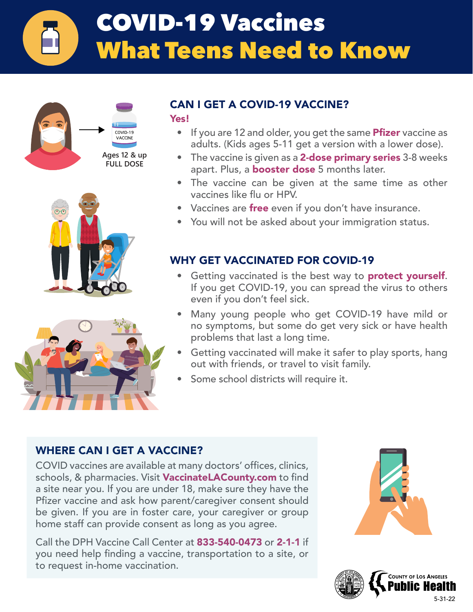# COVID-19 Vaccines What Teens Need to Know







### CAN I GET A COVID-19 VACCINE?

Yes!

- If you are 12 and older, you get the same **Pfizer** vaccine as adults. (Kids ages 5-11 get a version with a lower dose).
- The vaccine is given as a **2-dose primary series** 3-8 weeks apart. Plus, a **booster dose** 5 months later.
- The vaccine can be given at the same time as other vaccines like flu or HPV.
- Vaccines are free even if you don't have insurance.
- You will not be asked about your immigration status.

### WHY GET VACCINATED FOR COVID-19

- Getting vaccinated is the best way to **protect yourself**. If you get COVID-19, you can spread the virus to others even if you don't feel sick.
- Many young people who get COVID-19 have mild or no symptoms, but some do get very sick or have health problems that last a long time.
- Getting vaccinated will make it safer to play sports, hang out with friends, or travel to visit family.
- Some school districts will require it.

### WHERE CAN I GET A VACCINE?

COVID vaccines are available at many doctors' offices, clinics, schools, & pharmacies. Visit **VaccinateLACounty.com** to find a site near you. If you are under 18, make sure they have the Pfizer vaccine and ask how parent/caregiver consent should be given. If you are in foster care, your caregiver or group home staff can provide consent as long as you agree.

Call the DPH Vaccine Call Center at 833-540-0473 or 2-1-1 if you need help finding a vaccine, transportation to a site, or to request in-home vaccination.